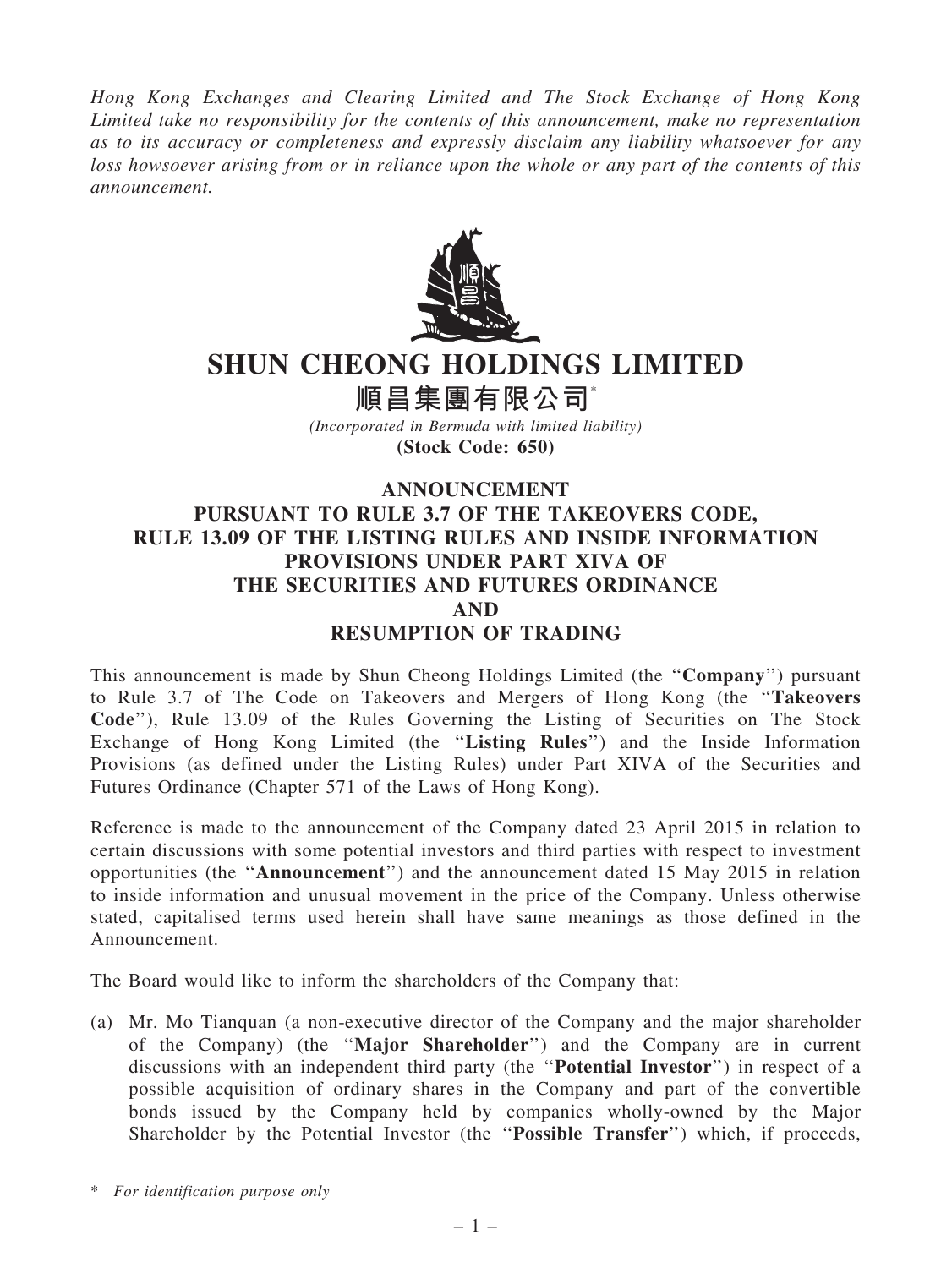Hong Kong Exchanges and Clearing Limited and The Stock Exchange of Hong Kong Limited take no responsibility for the contents of this announcement, make no representation as to its accuracy or completeness and expressly disclaim any liability whatsoever for any loss howsoever arising from or in reliance upon the whole or any part of the contents of this announcement.



## SHUN CHEONG HOLDINGS LIMITED

順昌集團有限公司\*

(Incorporated in Bermuda with limited liability) (Stock Code: 650)

## ANNOUNCEMENT PURSUANT TO RULE 3.7 OF THE TAKEOVERS CODE, RULE 13.09 OF THE LISTING RULES AND INSIDE INFORMATION PROVISIONS UNDER PART XIVA OF THE SECURITIES AND FUTURES ORDINANCE AND RESUMPTION OF TRADING

This announcement is made by Shun Cheong Holdings Limited (the ''Company'') pursuant to Rule 3.7 of The Code on Takeovers and Mergers of Hong Kong (the ''Takeovers Code''), Rule 13.09 of the Rules Governing the Listing of Securities on The Stock Exchange of Hong Kong Limited (the ''Listing Rules'') and the Inside Information Provisions (as defined under the Listing Rules) under Part XIVA of the Securities and Futures Ordinance (Chapter 571 of the Laws of Hong Kong).

Reference is made to the announcement of the Company dated 23 April 2015 in relation to certain discussions with some potential investors and third parties with respect to investment opportunities (the ''Announcement'') and the announcement dated 15 May 2015 in relation to inside information and unusual movement in the price of the Company. Unless otherwise stated, capitalised terms used herein shall have same meanings as those defined in the Announcement.

The Board would like to inform the shareholders of the Company that:

(a) Mr. Mo Tianquan (a non-executive director of the Company and the major shareholder of the Company) (the ''Major Shareholder'') and the Company are in current discussions with an independent third party (the ''Potential Investor'') in respect of a possible acquisition of ordinary shares in the Company and part of the convertible bonds issued by the Company held by companies wholly-owned by the Major Shareholder by the Potential Investor (the ''Possible Transfer'') which, if proceeds,

<sup>\*</sup> For identification purpose only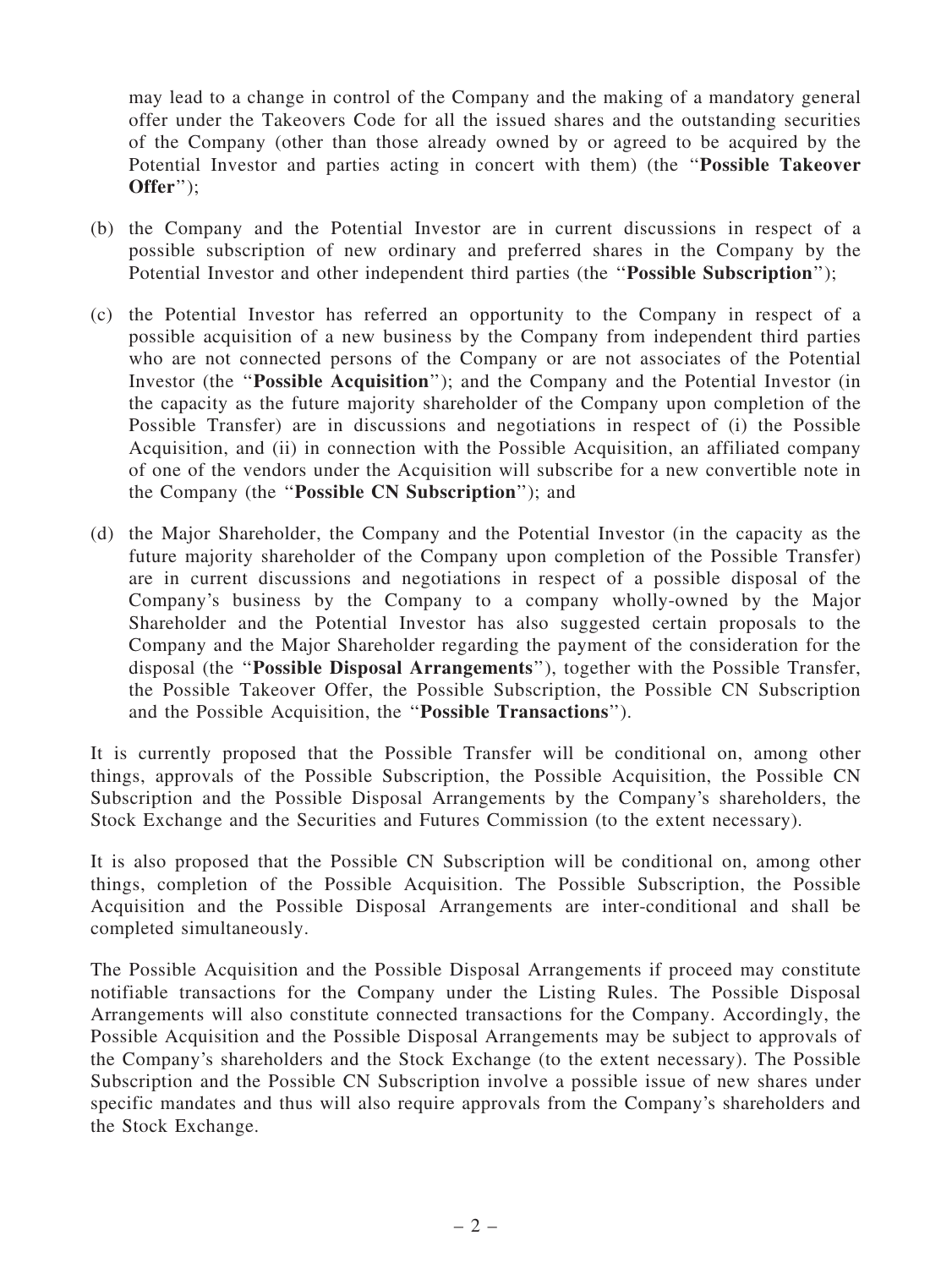may lead to a change in control of the Company and the making of a mandatory general offer under the Takeovers Code for all the issued shares and the outstanding securities of the Company (other than those already owned by or agreed to be acquired by the Potential Investor and parties acting in concert with them) (the ''Possible Takeover Offer'');

- (b) the Company and the Potential Investor are in current discussions in respect of a possible subscription of new ordinary and preferred shares in the Company by the Potential Investor and other independent third parties (the "Possible Subscription");
- (c) the Potential Investor has referred an opportunity to the Company in respect of a possible acquisition of a new business by the Company from independent third parties who are not connected persons of the Company or are not associates of the Potential Investor (the ''Possible Acquisition''); and the Company and the Potential Investor (in the capacity as the future majority shareholder of the Company upon completion of the Possible Transfer) are in discussions and negotiations in respect of (i) the Possible Acquisition, and (ii) in connection with the Possible Acquisition, an affiliated company of one of the vendors under the Acquisition will subscribe for a new convertible note in the Company (the ''Possible CN Subscription''); and
- (d) the Major Shareholder, the Company and the Potential Investor (in the capacity as the future majority shareholder of the Company upon completion of the Possible Transfer) are in current discussions and negotiations in respect of a possible disposal of the Company's business by the Company to a company wholly-owned by the Major Shareholder and the Potential Investor has also suggested certain proposals to the Company and the Major Shareholder regarding the payment of the consideration for the disposal (the ''Possible Disposal Arrangements''), together with the Possible Transfer, the Possible Takeover Offer, the Possible Subscription, the Possible CN Subscription and the Possible Acquisition, the ''Possible Transactions'').

It is currently proposed that the Possible Transfer will be conditional on, among other things, approvals of the Possible Subscription, the Possible Acquisition, the Possible CN Subscription and the Possible Disposal Arrangements by the Company's shareholders, the Stock Exchange and the Securities and Futures Commission (to the extent necessary).

It is also proposed that the Possible CN Subscription will be conditional on, among other things, completion of the Possible Acquisition. The Possible Subscription, the Possible Acquisition and the Possible Disposal Arrangements are inter-conditional and shall be completed simultaneously.

The Possible Acquisition and the Possible Disposal Arrangements if proceed may constitute notifiable transactions for the Company under the Listing Rules. The Possible Disposal Arrangements will also constitute connected transactions for the Company. Accordingly, the Possible Acquisition and the Possible Disposal Arrangements may be subject to approvals of the Company's shareholders and the Stock Exchange (to the extent necessary). The Possible Subscription and the Possible CN Subscription involve a possible issue of new shares under specific mandates and thus will also require approvals from the Company's shareholders and the Stock Exchange.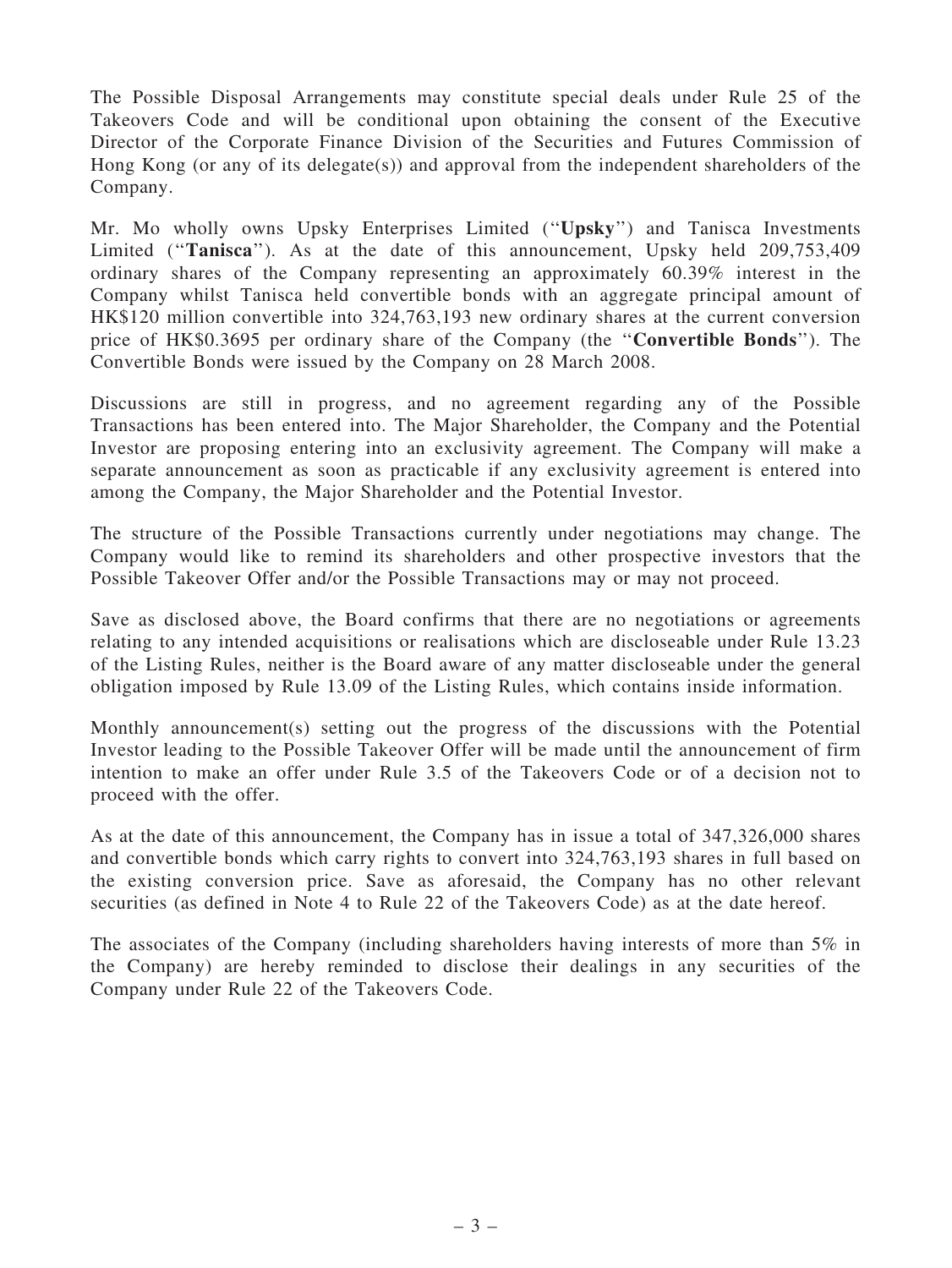The Possible Disposal Arrangements may constitute special deals under Rule 25 of the Takeovers Code and will be conditional upon obtaining the consent of the Executive Director of the Corporate Finance Division of the Securities and Futures Commission of Hong Kong (or any of its delegate(s)) and approval from the independent shareholders of the Company.

Mr. Mo wholly owns Upsky Enterprises Limited (''Upsky'') and Tanisca Investments Limited ("Tanisca"). As at the date of this announcement, Upsky held 209,753,409 ordinary shares of the Company representing an approximately 60.39% interest in the Company whilst Tanisca held convertible bonds with an aggregate principal amount of HK\$120 million convertible into 324,763,193 new ordinary shares at the current conversion price of HK\$0.3695 per ordinary share of the Company (the ''Convertible Bonds''). The Convertible Bonds were issued by the Company on 28 March 2008.

Discussions are still in progress, and no agreement regarding any of the Possible Transactions has been entered into. The Major Shareholder, the Company and the Potential Investor are proposing entering into an exclusivity agreement. The Company will make a separate announcement as soon as practicable if any exclusivity agreement is entered into among the Company, the Major Shareholder and the Potential Investor.

The structure of the Possible Transactions currently under negotiations may change. The Company would like to remind its shareholders and other prospective investors that the Possible Takeover Offer and/or the Possible Transactions may or may not proceed.

Save as disclosed above, the Board confirms that there are no negotiations or agreements relating to any intended acquisitions or realisations which are discloseable under Rule 13.23 of the Listing Rules, neither is the Board aware of any matter discloseable under the general obligation imposed by Rule 13.09 of the Listing Rules, which contains inside information.

Monthly announcement(s) setting out the progress of the discussions with the Potential Investor leading to the Possible Takeover Offer will be made until the announcement of firm intention to make an offer under Rule 3.5 of the Takeovers Code or of a decision not to proceed with the offer.

As at the date of this announcement, the Company has in issue a total of 347,326,000 shares and convertible bonds which carry rights to convert into 324,763,193 shares in full based on the existing conversion price. Save as aforesaid, the Company has no other relevant securities (as defined in Note 4 to Rule 22 of the Takeovers Code) as at the date hereof.

The associates of the Company (including shareholders having interests of more than 5% in the Company) are hereby reminded to disclose their dealings in any securities of the Company under Rule 22 of the Takeovers Code.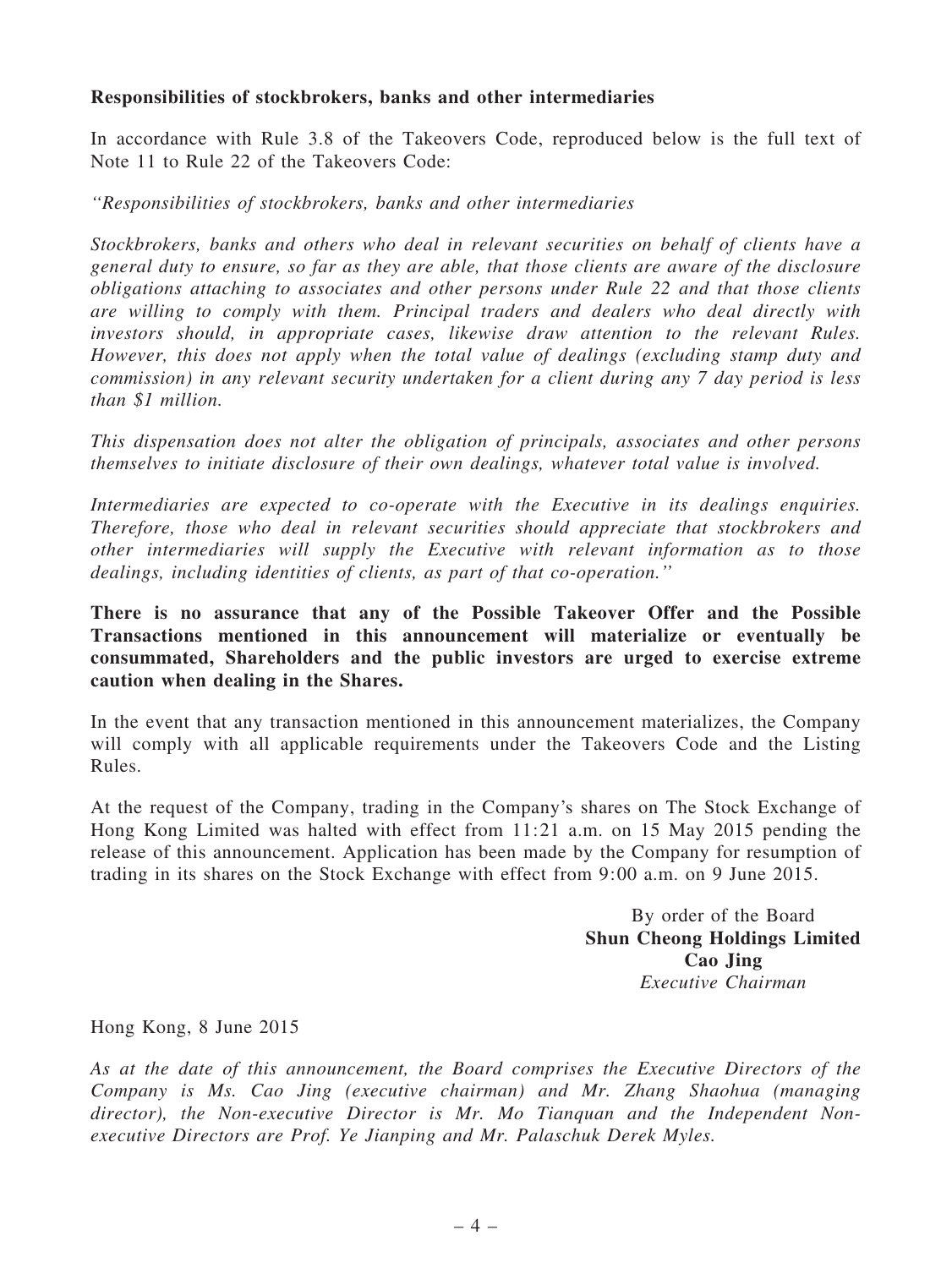## Responsibilities of stockbrokers, banks and other intermediaries

In accordance with Rule 3.8 of the Takeovers Code, reproduced below is the full text of Note 11 to Rule 22 of the Takeovers Code:

''Responsibilities of stockbrokers, banks and other intermediaries

Stockbrokers, banks and others who deal in relevant securities on behalf of clients have a general duty to ensure, so far as they are able, that those clients are aware of the disclosure obligations attaching to associates and other persons under Rule 22 and that those clients are willing to comply with them. Principal traders and dealers who deal directly with investors should, in appropriate cases, likewise draw attention to the relevant Rules. However, this does not apply when the total value of dealings (excluding stamp duty and commission) in any relevant security undertaken for a client during any 7 day period is less than \$1 million.

This dispensation does not alter the obligation of principals, associates and other persons themselves to initiate disclosure of their own dealings, whatever total value is involved.

Intermediaries are expected to co-operate with the Executive in its dealings enquiries. Therefore, those who deal in relevant securities should appreciate that stockbrokers and other intermediaries will supply the Executive with relevant information as to those dealings, including identities of clients, as part of that co-operation.''

## There is no assurance that any of the Possible Takeover Offer and the Possible Transactions mentioned in this announcement will materialize or eventually be consummated, Shareholders and the public investors are urged to exercise extreme caution when dealing in the Shares.

In the event that any transaction mentioned in this announcement materializes, the Company will comply with all applicable requirements under the Takeovers Code and the Listing Rules.

At the request of the Company, trading in the Company's shares on The Stock Exchange of Hong Kong Limited was halted with effect from 11:21 a.m. on 15 May 2015 pending the release of this announcement. Application has been made by the Company for resumption of trading in its shares on the Stock Exchange with effect from 9:00 a.m. on 9 June 2015.

> By order of the Board Shun Cheong Holdings Limited Cao Jing Executive Chairman

Hong Kong, 8 June 2015

As at the date of this announcement, the Board comprises the Executive Directors of the Company is Ms. Cao Jing (executive chairman) and Mr. Zhang Shaohua (managing director), the Non-executive Director is Mr. Mo Tianquan and the Independent Nonexecutive Directors are Prof. Ye Jianping and Mr. Palaschuk Derek Myles.